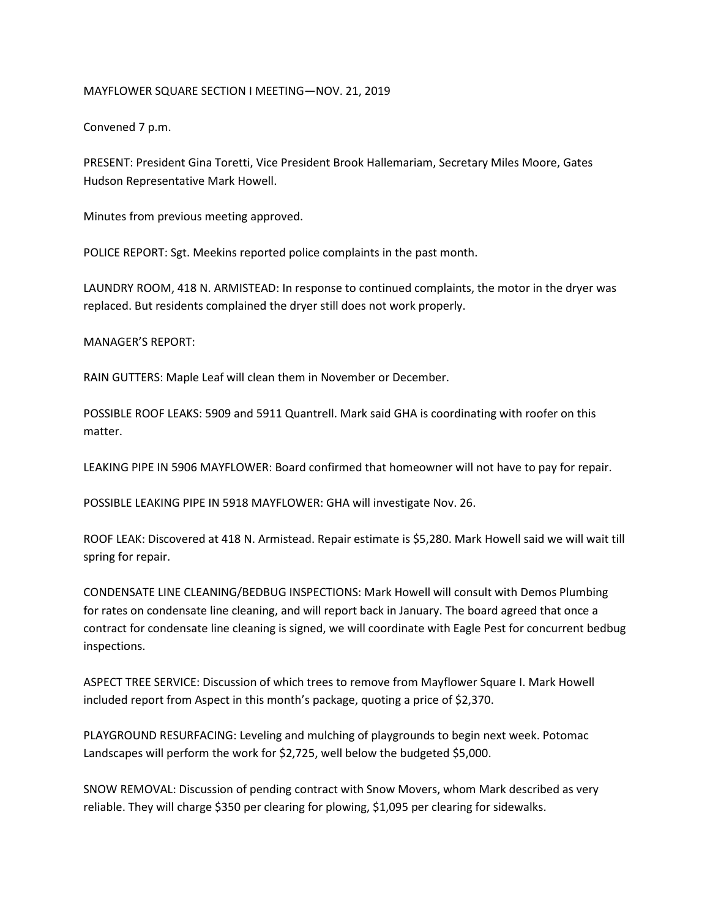## MAYFLOWER SQUARE SECTION I MEETING—NOV. 21, 2019

Convened 7 p.m.

PRESENT: President Gina Toretti, Vice President Brook Hallemariam, Secretary Miles Moore, Gates Hudson Representative Mark Howell.

Minutes from previous meeting approved.

POLICE REPORT: Sgt. Meekins reported police complaints in the past month.

LAUNDRY ROOM, 418 N. ARMISTEAD: In response to continued complaints, the motor in the dryer was replaced. But residents complained the dryer still does not work properly.

MANAGER'S REPORT:

RAIN GUTTERS: Maple Leaf will clean them in November or December.

POSSIBLE ROOF LEAKS: 5909 and 5911 Quantrell. Mark said GHA is coordinating with roofer on this matter.

LEAKING PIPE IN 5906 MAYFLOWER: Board confirmed that homeowner will not have to pay for repair.

POSSIBLE LEAKING PIPE IN 5918 MAYFLOWER: GHA will investigate Nov. 26.

ROOF LEAK: Discovered at 418 N. Armistead. Repair estimate is \$5,280. Mark Howell said we will wait till spring for repair.

CONDENSATE LINE CLEANING/BEDBUG INSPECTIONS: Mark Howell will consult with Demos Plumbing for rates on condensate line cleaning, and will report back in January. The board agreed that once a contract for condensate line cleaning is signed, we will coordinate with Eagle Pest for concurrent bedbug inspections.

ASPECT TREE SERVICE: Discussion of which trees to remove from Mayflower Square I. Mark Howell included report from Aspect in this month's package, quoting a price of \$2,370.

PLAYGROUND RESURFACING: Leveling and mulching of playgrounds to begin next week. Potomac Landscapes will perform the work for \$2,725, well below the budgeted \$5,000.

SNOW REMOVAL: Discussion of pending contract with Snow Movers, whom Mark described as very reliable. They will charge \$350 per clearing for plowing, \$1,095 per clearing for sidewalks.